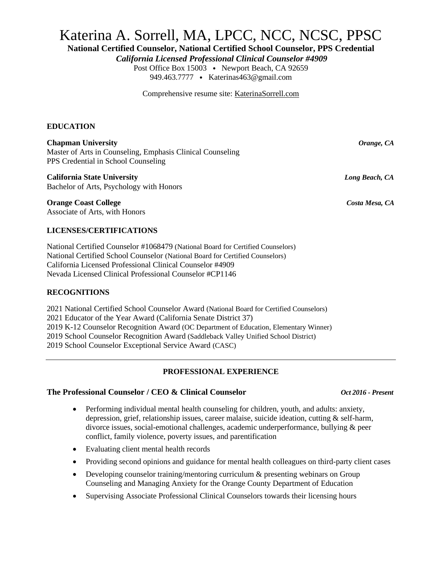# Katerina A. Sorrell, MA, LPCC, NCC, NCSC, PPSC

**National Certified Counselor, National Certified School Counselor, PPS Credential**

*California Licensed Professional Clinical Counselor #4909*

Post Office Box 15003 • Newport Beach, CA 92659 949.463.7777 • Katerinas463@gmail.com

Comprehensive resume site: KaterinaSorrell.com

### **EDUCATION**

### **Chapman University** *Orange, CA*

Master of Arts in Counseling, Emphasis Clinical Counseling PPS Credential in School Counseling

### **California State University** *Long Beach, CA*

Bachelor of Arts, Psychology with Honors

**Orange Coast College** *Costa Mesa, CA* Associate of Arts, with Honors

### **LICENSES/CERTIFICATIONS**

National Certified Counselor #1068479 (National Board for Certified Counselors) National Certified School Counselor (National Board for Certified Counselors) California Licensed Professional Clinical Counselor #4909 Nevada Licensed Clinical Professional Counselor #CP1146

### **RECOGNITIONS**

2021 National Certified School Counselor Award (National Board for Certified Counselors) 2021 Educator of the Year Award (California Senate District 37) 2019 K-12 Counselor Recognition Award (OC Department of Education, Elementary Winner) 2019 School Counselor Recognition Award (Saddleback Valley Unified School District) 2019 School Counselor Exceptional Service Award (CASC)

### **PROFESSIONAL EXPERIENCE**

### **The Professional Counselor / CEO & Clinical Counselor** *Oct 2016 - Present*

- Performing individual mental health counseling for children, youth, and adults: anxiety, depression, grief, relationship issues, career malaise, suicide ideation, cutting & self-harm, divorce issues, social-emotional challenges, academic underperformance, bullying & peer conflict, family violence, poverty issues, and parentification
- Evaluating client mental health records
- Providing second opinions and guidance for mental health colleagues on third-party client cases
- Developing counselor training/mentoring curriculum & presenting webinars on Group Counseling and Managing Anxiety for the Orange County Department of Education
- Supervising Associate Professional Clinical Counselors towards their licensing hours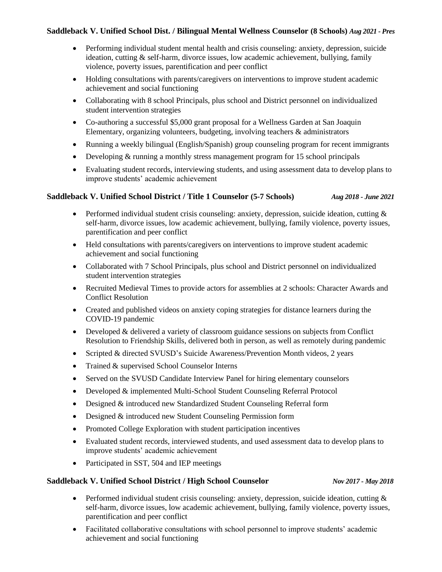### **Saddleback V. Unified School Dist. / Bilingual Mental Wellness Counselor (8 Schools)** *Aug 2021 - Pres*

- Performing individual student mental health and crisis counseling: anxiety, depression, suicide ideation, cutting & self-harm, divorce issues, low academic achievement, bullying, family violence, poverty issues, parentification and peer conflict
- Holding consultations with parents/caregivers on interventions to improve student academic achievement and social functioning
- Collaborating with 8 school Principals, plus school and District personnel on individualized student intervention strategies
- Co-authoring a successful \$5,000 grant proposal for a Wellness Garden at San Joaquin Elementary, organizing volunteers, budgeting, involving teachers & administrators
- Running a weekly bilingual (English/Spanish) group counseling program for recent immigrants
- Developing & running a monthly stress management program for 15 school principals
- Evaluating student records, interviewing students, and using assessment data to develop plans to improve students' academic achievement

### **Saddleback V. Unified School District / Title 1 Counselor (5-7 Schools)** *Aug 2018 - June 2021*

- Performed individual student crisis counseling: anxiety, depression, suicide ideation, cutting  $\&$ self-harm, divorce issues, low academic achievement, bullying, family violence, poverty issues, parentification and peer conflict
- Held consultations with parents/caregivers on interventions to improve student academic achievement and social functioning
- Collaborated with 7 School Principals, plus school and District personnel on individualized student intervention strategies
- Recruited Medieval Times to provide actors for assemblies at 2 schools: Character Awards and Conflict Resolution
- Created and published videos on anxiety coping strategies for distance learners during the COVID-19 pandemic
- Developed & delivered a variety of classroom guidance sessions on subjects from Conflict Resolution to Friendship Skills, delivered both in person, as well as remotely during pandemic
- Scripted & directed SVUSD's Suicide Awareness/Prevention Month videos, 2 years
- Trained & supervised School Counselor Interns
- Served on the SVUSD Candidate Interview Panel for hiring elementary counselors
- Developed & implemented Multi-School Student Counseling Referral Protocol
- Designed & introduced new Standardized Student Counseling Referral form
- Designed & introduced new Student Counseling Permission form
- Promoted College Exploration with student participation incentives
- Evaluated student records, interviewed students, and used assessment data to develop plans to improve students' academic achievement
- Participated in SST, 504 and IEP meetings

### **Saddleback V. Unified School District / High School Counselor** *Nov 2017 - May 2018*

- Performed individual student crisis counseling: anxiety, depression, suicide ideation, cutting  $\&$ self-harm, divorce issues, low academic achievement, bullying, family violence, poverty issues, parentification and peer conflict
- Facilitated collaborative consultations with school personnel to improve students' academic achievement and social functioning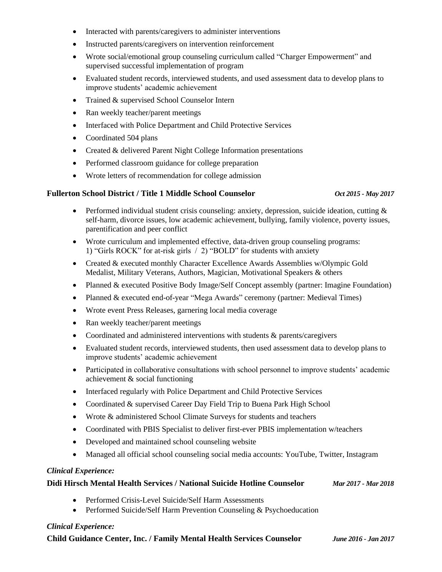- Interacted with parents/caregivers to administer interventions
- Instructed parents/caregivers on intervention reinforcement
- Wrote social/emotional group counseling curriculum called "Charger Empowerment" and supervised successful implementation of program
- Evaluated student records, interviewed students, and used assessment data to develop plans to improve students' academic achievement
- Trained & supervised School Counselor Intern
- Ran weekly teacher/parent meetings
- Interfaced with Police Department and Child Protective Services
- Coordinated 504 plans
- Created & delivered Parent Night College Information presentations
- Performed classroom guidance for college preparation
- Wrote letters of recommendation for college admission

### **Fullerton School District / Title 1 Middle School Counselor** *Oct 2015 - May 2017*

- Performed individual student crisis counseling: anxiety, depression, suicide ideation, cutting & self-harm, divorce issues, low academic achievement, bullying, family violence, poverty issues, parentification and peer conflict
- Wrote curriculum and implemented effective, data-driven group counseling programs: 1) "Girls ROCK" for at-risk girls / 2) "BOLD" for students with anxiety
- Created & executed monthly Character Excellence Awards Assemblies w/Olympic Gold Medalist, Military Veterans, Authors, Magician, Motivational Speakers & others
- Planned & executed Positive Body Image/Self Concept assembly (partner: Imagine Foundation)
- Planned & executed end-of-year "Mega Awards" ceremony (partner: Medieval Times)
- Wrote event Press Releases, garnering local media coverage
- Ran weekly teacher/parent meetings
- Coordinated and administered interventions with students & parents/caregivers
- Evaluated student records, interviewed students, then used assessment data to develop plans to improve students' academic achievement
- Participated in collaborative consultations with school personnel to improve students' academic achievement & social functioning
- Interfaced regularly with Police Department and Child Protective Services
- Coordinated & supervised Career Day Field Trip to Buena Park High School
- Wrote & administered School Climate Surveys for students and teachers
- Coordinated with PBIS Specialist to deliver first-ever PBIS implementation w/teachers
- Developed and maintained school counseling website
- Managed all official school counseling social media accounts: YouTube, Twitter, Instagram

### *Clinical Experience:*

### **Didi Hirsch Mental Health Services / National Suicide Hotline Counselor** *Mar 2017 - Mar 2018*

- Performed Crisis-Level Suicide/Self Harm Assessments
- Performed Suicide/Self Harm Prevention Counseling & Psychoeducation

### *Clinical Experience:*

**Child Guidance Center, Inc. / Family Mental Health Services Counselor** *June 2016 - Jan 2017*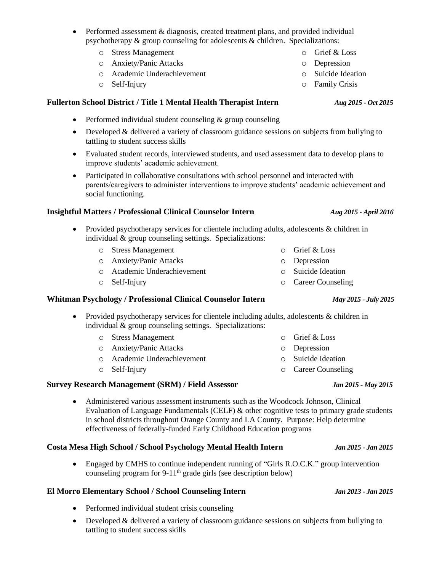- Performed assessment & diagnosis, created treatment plans, and provided individual psychotherapy & group counseling for adolescents & children. Specializations:
	- o Stress Management
	- o Anxiety/Panic Attacks
	- o Academic Underachievement
	- o Self-Injury

# **Fullerton School District / Title 1 Mental Health Therapist Intern** *Aug 2015 - Oct 2015*

- Performed individual student counseling & group counseling
- Developed & delivered a variety of classroom guidance sessions on subjects from bullying to tattling to student success skills
- Evaluated student records, interviewed students, and used assessment data to develop plans to improve students' academic achievement.
- Participated in collaborative consultations with school personnel and interacted with parents/caregivers to administer interventions to improve students' academic achievement and social functioning.

# **Insightful Matters / Professional Clinical Counselor Intern** *Aug 2015 - April 2016*

- Provided psychotherapy services for clientele including adults, adolescents & children in individual & group counseling settings. Specializations:
	- o Stress Management

o Anxiety/Panic Attacks

- o Academic Underachievement
- o Self-Injury

# **Whitman Psychology / Professional Clinical Counselor Intern** *May 2015 - July 2015*

- Provided psychotherapy services for clientele including adults, adolescents & children in individual & group counseling settings. Specializations:
	- o Stress Management o Anxiety/Panic Attacks o Academic Underachievement o Self-Injury o Grief & Loss o Depression o Suicide Ideation

# **Survey Research Management (SRM) / Field Assessor** *Jan 2015 - May 2015*

• Administered various assessment instruments such as the Woodcock Johnson, Clinical Evaluation of Language Fundamentals (CELF) & other cognitive tests to primary grade students in school districts throughout Orange County and LA County. Purpose: Help determine effectiveness of federally-funded Early Childhood Education programs

# **Costa Mesa High School / School Psychology Mental Health Intern** *Jan 2015 - Jan 2015*

• Engaged by CMHS to continue independent running of "Girls R.O.C.K." group intervention counseling program for 9-11<sup>th</sup> grade girls (see description below)

# **El Morro Elementary School / School Counseling Intern** *Jan 2013 - Jan 2015*

- Performed individual student crisis counseling
- Developed & delivered a variety of classroom guidance sessions on subjects from bullying to tattling to student success skills

- 
- 

o Grief & Loss o Depression o Suicide Ideation o Career Counseling

o Career Counseling

o Depression o Suicide Ideation

o Family Crisis

o Grief & Loss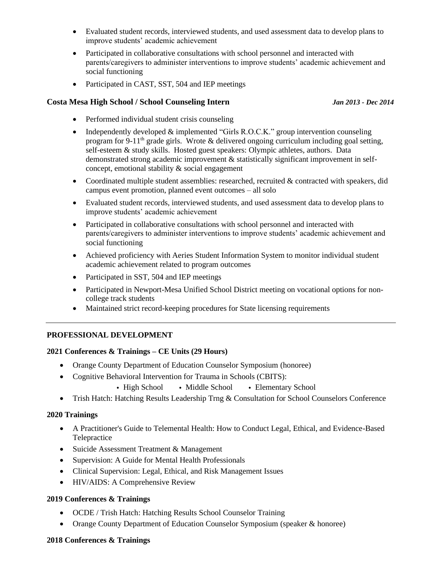- Evaluated student records, interviewed students, and used assessment data to develop plans to improve students' academic achievement
- Participated in collaborative consultations with school personnel and interacted with parents/caregivers to administer interventions to improve students' academic achievement and social functioning
- Participated in CAST, SST, 504 and IEP meetings

### **Costa Mesa High School / School Counseling Intern** *Jan 2013 - Dec 2014*

- Performed individual student crisis counseling
- Independently developed & implemented "Girls R.O.C.K." group intervention counseling program for 9-11<sup>th</sup> grade girls. Wrote & delivered ongoing curriculum including goal setting, self-esteem & study skills. Hosted guest speakers: Olympic athletes, authors. Data demonstrated strong academic improvement & statistically significant improvement in selfconcept, emotional stability & social engagement
- Coordinated multiple student assemblies: researched, recruited & contracted with speakers, did campus event promotion, planned event outcomes – all solo
- Evaluated student records, interviewed students, and used assessment data to develop plans to improve students' academic achievement
- Participated in collaborative consultations with school personnel and interacted with parents/caregivers to administer interventions to improve students' academic achievement and social functioning
- Achieved proficiency with Aeries Student Information System to monitor individual student academic achievement related to program outcomes
- Participated in SST, 504 and IEP meetings
- Participated in Newport-Mesa Unified School District meeting on vocational options for noncollege track students
- Maintained strict record-keeping procedures for State licensing requirements

### **PROFESSIONAL DEVELOPMENT**

### **2021 Conferences & Trainings – CE Units (29 Hours)**

- Orange County Department of Education Counselor Symposium (honoree)
- Cognitive Behavioral Intervention for Trauma in Schools (CBITS):
	- High School Middle School Elementary School
- Trish Hatch: Hatching Results Leadership Trng & Consultation for School Counselors Conference

### **2020 Trainings**

- A Practitioner's Guide to Telemental Health: How to Conduct Legal, Ethical, and Evidence-Based Telepractice
- Suicide Assessment Treatment & Management
- Supervision: A Guide for Mental Health Professionals
- Clinical Supervision: Legal, Ethical, and Risk Management Issues
- HIV/AIDS: A Comprehensive Review

### **2019 Conferences & Trainings**

- OCDE / Trish Hatch: Hatching Results School Counselor Training
- Orange County Department of Education Counselor Symposium (speaker & honoree)

### **2018 Conferences & Trainings**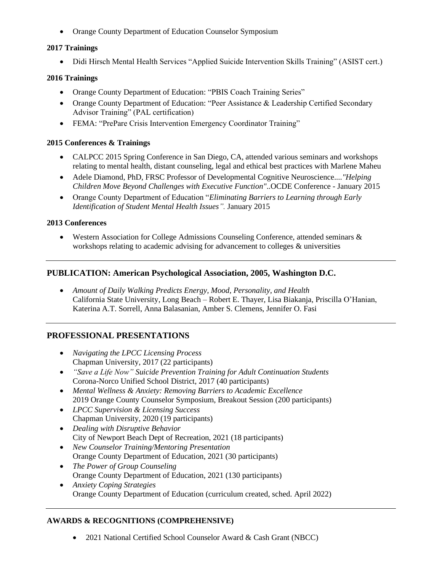• Orange County Department of Education Counselor Symposium

### **2017 Trainings**

• Didi Hirsch Mental Health Services "Applied Suicide Intervention Skills Training" (ASIST cert.)

### **2016 Trainings**

- Orange County Department of Education: "PBIS Coach Training Series"
- Orange County Department of Education: "Peer Assistance & Leadership Certified Secondary Advisor Training" (PAL certification)
- FEMA: "PrePare Crisis Intervention Emergency Coordinator Training"

### **2015 Conferences & Trainings**

- CALPCC 2015 Spring Conference in San Diego, CA, attended various seminars and workshops relating to mental health, distant counseling, legal and ethical best practices with Marlene Maheu
- Adele Diamond, PhD, FRSC Professor of Developmental Cognitive Neuroscience*...."Helping Children Move Beyond Challenges with Executive Function"*..OCDE Conference - January 2015
- Orange County Department of Education "*Eliminating Barriers to Learning through Early Identification of Student Mental Health Issues".* January 2015

### **2013 Conferences**

• Western Association for College Admissions Counseling Conference, attended seminars & workshops relating to academic advising for advancement to colleges & universities

### **PUBLICATION: American Psychological Association, 2005, Washington D.C.**

• *Amount of Daily Walking Predicts Energy, Mood, Personality, and Health* California State University, Long Beach – Robert E. Thayer, Lisa Biakanja, Priscilla O'Hanian, Katerina A.T. Sorrell, Anna Balasanian, Amber S. Clemens, Jennifer O. Fasi

# **PROFESSIONAL PRESENTATIONS**

- *Navigating the LPCC Licensing Process* Chapman University, 2017 (22 participants)
- *"Save a Life Now" Suicide Prevention Training for Adult Continuation Students* Corona-Norco Unified School District, 2017 (40 participants)
- *Mental Wellness & Anxiety: Removing Barriers to Academic Excellence* 2019 Orange County Counselor Symposium, Breakout Session (200 participants)
- *LPCC Supervision & Licensing Success* Chapman University, 2020 (19 participants)
- *Dealing with Disruptive Behavior* City of Newport Beach Dept of Recreation, 2021 (18 participants)
- *New Counselor Training/Mentoring Presentation* Orange County Department of Education, 2021 (30 participants)
- *The Power of Group Counseling* Orange County Department of Education, 2021 (130 participants)
- *Anxiety Coping Strategies* Orange County Department of Education (curriculum created, sched. April 2022)

### **AWARDS & RECOGNITIONS (COMPREHENSIVE)**

• 2021 National Certified School Counselor Award & Cash Grant (NBCC)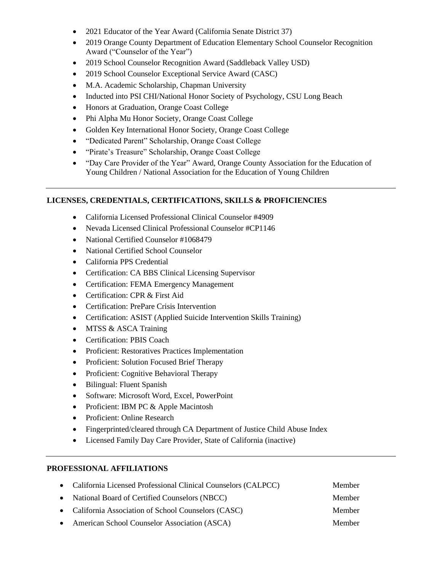- 2021 Educator of the Year Award (California Senate District 37)
- 2019 Orange County Department of Education Elementary School Counselor Recognition Award ("Counselor of the Year")
- 2019 School Counselor Recognition Award (Saddleback Valley USD)
- 2019 School Counselor Exceptional Service Award (CASC)
- M.A. Academic Scholarship, Chapman University
- Inducted into PSI CHI/National Honor Society of Psychology, CSU Long Beach
- Honors at Graduation, Orange Coast College
- Phi Alpha Mu Honor Society, Orange Coast College
- Golden Key International Honor Society, Orange Coast College
- "Dedicated Parent" Scholarship, Orange Coast College
- "Pirate's Treasure" Scholarship, Orange Coast College
- "Day Care Provider of the Year" Award, Orange County Association for the Education of Young Children / National Association for the Education of Young Children

### **LICENSES, CREDENTIALS, CERTIFICATIONS, SKILLS & PROFICIENCIES**

- California Licensed Professional Clinical Counselor #4909
- Nevada Licensed Clinical Professional Counselor #CP1146
- National Certified Counselor #1068479
- National Certified School Counselor
- California PPS Credential
- Certification: CA BBS Clinical Licensing Supervisor
- Certification: FEMA Emergency Management
- Certification: CPR & First Aid
- Certification: PrePare Crisis Intervention
- Certification: ASIST (Applied Suicide Intervention Skills Training)
- MTSS & ASCA Training
- Certification: PBIS Coach
- Proficient: Restoratives Practices Implementation
- Proficient: Solution Focused Brief Therapy
- Proficient: Cognitive Behavioral Therapy
- Bilingual: Fluent Spanish
- Software: Microsoft Word, Excel, PowerPoint
- Proficient: IBM PC & Apple Macintosh
- Proficient: Online Research
- Fingerprinted/cleared through CA Department of Justice Child Abuse Index
- Licensed Family Day Care Provider, State of California (inactive)

### **PROFESSIONAL AFFILIATIONS**

| • California Licensed Professional Clinical Counselors (CALPCC) | Member        |
|-----------------------------------------------------------------|---------------|
| • National Board of Certified Counselors (NBCC)                 | Member        |
| • California Association of School Counselors (CASC)            | Member        |
| • American School Counselor Association (ASCA)                  | <b>Member</b> |